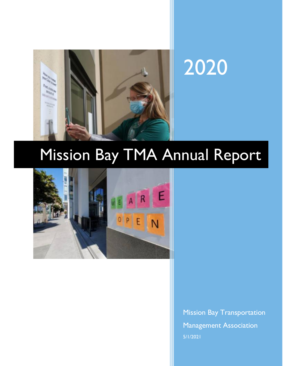

# 2020

# Mission Bay TMA Annual Report



Mission Bay Transportation Management Association 5/1/2021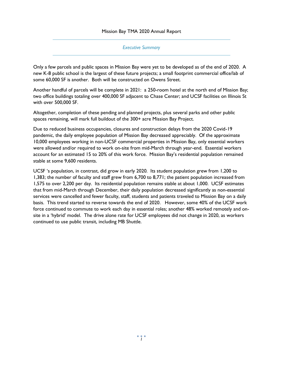#### *Executive Summary*

Only a few parcels and public spaces in Mission Bay were yet to be developed as of the end of 2020. A new K-8 public school is the largest of these future projects; a small footprint commercial office/lab of some 60,000 SF is another. Both will be constructed on Owens Street.

Another handful of parcels will be complete in 2021: a 250-room hotel at the north end of Mission Bay; two office buildings totaling over 400,000 SF adjacent to Chase Center; and UCSF facilities on Illinois St with over 500,000 SF.

Altogether, completion of these pending and planned projects, plus several parks and other public spaces remaining, will mark full buildout of the 300+ acre Mission Bay Project.

Due to reduced business occupancies, closures and construction delays from the 2020 Covid-19 pandemic, the daily employee population of Mission Bay decreased appreciably. Of the approximate 10,000 employees working in non-UCSF commercial properties in Mission Bay, only essential workers were allowed and/or required to work on-site from mid-March through year-end. Essential workers account for an estimated 15 to 20% of this work force. Mission Bay's residential population remained stable at some 9,600 residents.

UCSF 's population, in contrast, did grow in early 2020. Its student population grew from 1,200 to 1,383; the number of faculty and staff grew from 6,700 to 8,771; the patient population increased from 1,575 to over 2,200 per day. Its residential population remains stable at about 1,000. UCSF estimates that from mid-March through December, their daily population decreased significantly as non-essential services were cancelled and fewer faculty, staff, students and patients traveled to Mission Bay on a daily basis. This trend started to reverse towards the end of 2020. However, some 40% of the UCSF work force continued to commute to work each day in essential roles; another 48% worked remotely and onsite in a 'hybrid' model. The drive alone rate for UCSF employees did not change in 2020, as workers continued to use public transit, including MB Shuttle.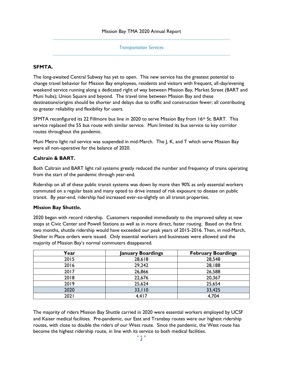*Transportation Services* 

#### **SFMTA.**

The long-awaited Central Subway has yet to open. This new service has the greatest potential to change travel behavior for Mission Bay employees, residents and visitors with frequent, all-day/evening weekend service running along a dedicated right of way between Mission Bay, Market Street (BART and Muni hubs); Union Square and beyond. The travel time between Mission Bay and these destinations/origins should be shorter and delays due to traffic and construction fewer; all contributing to greater reliability and flexibility for users.

SFMTA reconfigured its 22 Fillmore bus line in 2020 to serve Mission Bay from 16th St. BART. This service replaced the 55 bus route with similar service. Muni limited its bus service to key corridor routes throughout the pandemic.

Muni Metro light rail service was suspended in mid-March. The J, K, and T which serve Mission Bay were all non-operative for the balance of 2020.

#### **Caltrain & BART.**

Both Caltrain and BART light rail systems greatly reduced the number and frequency of trains operating from the start of the pandemic through year-end.

Ridership on all of these public transit systems was down by more than 90% as only essential workers commuted on a regular basis and many opted to drive instead of risk exposure to disease on public transit. By year-end, ridership had increased ever-so-slightly on all transit properties.

#### **Mission Bay Shuttle.**

2020 began with record ridership. Customers responded immediately to the improved safety at new stops at Civic Center and Powell Stations as well as in more direct, faster routing. Based on the first two months, shuttle ridership would have exceeded our peak years of 2015-2016. Then, in mid-March, Shelter in Place orders were issued. Only essential workers and businesses were allowed and the majority of Mission Bay's normal commuters disappeared.

| Year | <b>January Boardings</b> | <b>February Boardings</b> |
|------|--------------------------|---------------------------|
| 2015 | 28,618                   | 28,548                    |
| 2016 | 29,242                   | 28,188                    |
| 2017 | 26,866                   | 26,588                    |
| 2018 | 22,676                   | 20,367                    |
| 2019 | 25,624                   | 25,654                    |
| 2020 | 33,110                   | 33,425                    |
| 2021 | 4,417                    | 4,704                     |

The majority of riders Mission Bay Shuttle carried in 2020 were essential workers employed by UCSF and Kaiser medical facilities. Pre-pandemic, our East and Transbay routes were our highest ridership routes, with close to double the riders of our West route. Since the pandemic, the West route has become the highest ridership route, in line with its service to both medical facilities.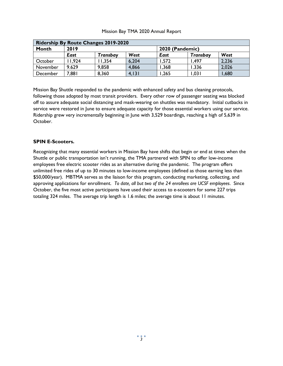| <b>Ridership By Route Changes 2019-2020</b> |       |          |        |                 |                 |       |
|---------------------------------------------|-------|----------|--------|-----------------|-----------------|-------|
| Month                                       | 2019  |          |        | 2020 (Pandemic) |                 |       |
|                                             | East  | Transbay | West   | <b>East</b>     | <b>Transbay</b> | West  |
| October                                     | 1.924 | 1.354    | 6,204  | 1,572           | .497            | 2,236 |
| November                                    | 9.629 | 9.858    | 4,866  | .368            | .336            | 2,026 |
| December                                    | 7,881 | 8,360    | 4, 131 | ,265            | .031            | 1,680 |

Mission Bay Shuttle responded to the pandemic with enhanced safety and bus cleaning protocols, following those adopted by most transit providers. Every other row of passenger seating was blocked off to assure adequate social distancing and mask-wearing on shuttles was mandatory. Initial cutbacks in service were restored in June to ensure adequate capacity for those essential workers using our service. Ridership grew very incrementally beginning in June with 3,529 boardings, reaching a high of 5,639 in October.

#### **SPIN E-Scooters.**

Recognizing that many essential workers in Mission Bay have shifts that begin or end at times when the Shuttle or public transportation isn't running, the TMA partnered with SPIN to offer low-income employees free electric scooter rides as an alternative during the pandemic. The program offers unlimited free rides of up to 30 minutes to low-income employees (defined as those earning less than \$50,000/year). MBTMA serves as the liaison for this program, conducting marketing, collecting, and approving applications for enrollment. *To date, all but two of the 24 enrollees are UCSF employees*. Since October, the five most active participants have used their access to e-scooters for some 227 trips totaling 324 miles. The average trip length is 1.6 miles; the average time is about 11 minutes.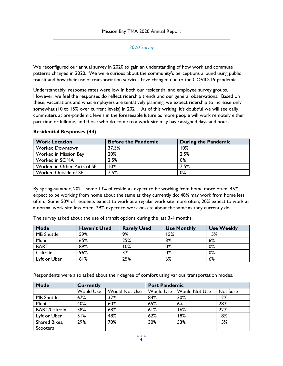#### *2020 Survey*

We reconfigured our annual survey in 2020 to gain an understanding of how work and commute patterns changed in 2020. We were curious about the community's perceptions around using public transit and how their use of transportation services have changed due to the COVID-19 pandemic.

Understandably, response rates were low in both our residential and employee survey groups. However, we feel the responses do reflect ridership trends and our general observations. Based on these, vaccinations and what employers are tentatively planning, we expect ridership to increase only somewhat (10 to 15% over current levels) in 2021. As of this writing, it's doubtful we will see daily commuters at pre-pandemic levels in the foreseeable future as more people will work remotely either part time or fulltime, and those who do come to a work site may have assigned days and hours.

#### **Residential Responses (44)**

| <b>Work Location</b>        | <b>Before the Pandemic</b> | During the Pandemic |
|-----------------------------|----------------------------|---------------------|
| <b>Worked Downtown</b>      | 37.5%                      | 10%                 |
| Worked in Mission Bay       | 20%                        | 2.5%                |
| Worked in SOMA              | 2.5%                       | 0%                  |
| Worked in Other Parts of SF | $0\%$                      | 7.5%                |
| <b>Worked Outside of SF</b> | 7.5%                       | 0%                  |

By spring-summer, 2021, some 13% of residents expect to be working from home more often; 45% expect to be working from home about the same as they currently do; 48% may work from home less often. Some 50% of residents expect to work at a regular work site more often; 20% expect to work at a normal work site less often; 29% expect to work on-site about the same as they currently do.

The survey asked about the use of transit options during the last 3-4 months.

| <b>Mode</b>       | <b>Haven't Used</b> | <b>Rarely Used</b> | <b>Use Monthly</b> | <b>Use Weekly</b> |
|-------------------|---------------------|--------------------|--------------------|-------------------|
| <b>MB Shuttle</b> | 59%                 | 9%                 | 15%                | 15%               |
| Muni              | 65%                 | 25%                | 3%                 | 6%                |
| <b>BART</b>       | 89%                 | 10%                | 0%                 | 0%                |
| Caltrain          | 96%                 | 3%                 | 0%                 | 0%                |
| Lyft or Uber      | 61%                 | 25%                | 6%                 | 6%                |

Respondents were also asked about their degree of comfort using various transportation modes.

| Mode                 | <b>Currently</b> |                      | <b>Post Pandemic</b> |               |          |
|----------------------|------------------|----------------------|----------------------|---------------|----------|
|                      | <b>Would Use</b> | <b>Would Not Use</b> | <b>Would Use</b>     | Would Not Use | Not Sure |
| <b>MB Shuttle</b>    | 67%              | 32%                  | 84%                  | 30%           | 12%      |
| Muni                 | 40%              | 60%                  | 65%                  | 6%            | 28%      |
| <b>BART/Caltrain</b> | 38%              | 68%                  | 61%                  | 16%           | 22%      |
| Lyft or Uber         | 51%              | 48%                  | 62%                  | 18%           | 18%      |
| Shared Bikes,        | 29%              | 70%                  | 30%                  | 53%           | 15%      |
| Scooters             |                  |                      |                      |               |          |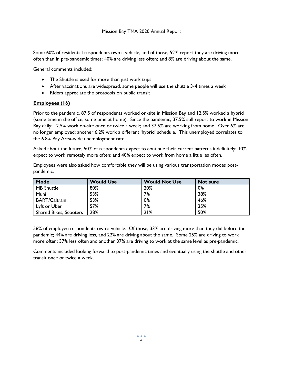Some 60% of residential respondents own a vehicle, and of those, 52% report they are driving more often than in pre-pandemic times; 40% are driving less often; and 8% are driving about the same.

General comments included:

- The Shuttle is used for more than just work trips
- After vaccinations are widespread, some people will use the shuttle 3-4 times a week
- Riders appreciate the protocols on public transit

#### **Employees (16)**

Prior to the pandemic, 87.5 of respondents worked on-site in Mission Bay and 12.5% worked a hybrid (some time in the office, some time at home). Since the pandemic, 37.5% still report to work in Mission Bay daily; 12.5% work on-site once or twice a week; and 37.5% are working from home. Over 6% are no longer employed; another 6.2% work a different 'hybrid' schedule. This unemployed correlates to the 6.8% Bay Area-wide unemployment rate.

Asked about the future, 50% of respondents expect to continue their current patterns indefinitely; 10% expect to work remotely more often; and 40% expect to work from home a little les often.

Employees were also asked how comfortable they will be using various transportation modes postpandemic.

| <b>Mode</b>                   | <b>Would Use</b> | <b>Would Not Use</b> | <b>Not sure</b> |
|-------------------------------|------------------|----------------------|-----------------|
| <b>MB Shuttle</b>             | 80%              | 20%                  | 0%              |
| Muni                          | 53%              | 7%                   | 38%             |
| <b>BART/Caltrain</b>          | 53%              | 0%                   | 46%             |
| Lyft or Uber                  | 57%              | 7%                   | 35%             |
| <b>Shared Bikes, Scooters</b> | 28%              | 21%                  | 50%             |

56% of employee respondents own a vehicle. Of those, 33% are driving more than they did before the pandemic; 44% are driving less, and 22% are driving about the same. Some 25% are driving to work more often; 37% less often and another 37% are driving to work at the same level as pre-pandemic.

Comments included looking forward to post-pandemic times and eventually using the shuttle and other transit once or twice a week.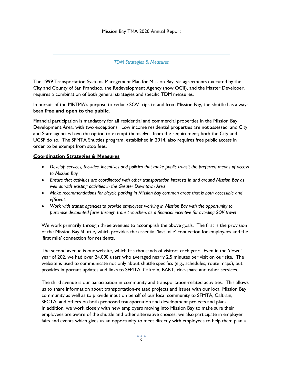#### *TDM Strategies & Measures*

The 1999 Transportation Systems Management Plan for Mission Bay, via agreements executed by the City and County of San Francisco, the Redevelopment Agency (now OCII), and the Master Developer, requires a combination of both general strategies and specific TDM measures.

In pursuit of the MBTMA's purpose to reduce SOV trips to and from Mission Bay, the shuttle has always been **free and open to the public**.

Financial participation is mandatory for all residential and commercial properties in the Mission Bay Development Area, with two exceptions. Low income residential properties are not assessed, and City and State agencies have the option to exempt themselves from the requirement; both the City and UCSF do so. The SFMTA Shuttles program, established in 2014, also requires free public access in order to be exempt from stop fees.

#### **Coordination Strategies & Measures**

- *Develop services, facilities, incentives and policies that make public transit the preferred means of access to Mission Bay*
- *Ensure that activities are coordinated with other transportation interests in and around Mission Bay as well as with existing activities in the Greater Downtown Area*
- *Make recommendations for bicycle parking in Mission Bay common areas that is both accessible and efficient.*
- *Work with transit agencies to provide employees working in Mission Bay with the opportunity to purchase discounted fares through transit vouchers as a financial incentive for avoiding SOV travel*

We work primarily through three avenues to accomplish the above goals. The first is the provision of the Mission Bay Shuttle, which provides the essential 'last mile' connection for employees and the 'first mile' connection for residents.

The second avenue is our website, which has thousands of visitors each year. Even in the 'down' year of 202, we had over 24,000 users who averaged nearly 2.5 minutes per visit on our site. The website is used to communicate not only about shuttle specifics (e.g., schedules, route maps), but provides important updates and links to SFMTA, Caltrain, BART, ride-share and other services.

The third avenue is our participation in community and transportation-related activities. This allows us to share information about transportation-related projects and issues with our local Mission Bay community as well as to provide input on behalf of our local community to SFMTA, Caltrain, SFCTA, and others on both proposed transportation and development projects and plans. In addition, we work closely with new employers moving into Mission Bay to make sure their employees are aware of the shuttle and other alternative choices; we also participate in employer fairs and events which gives us an opportunity to meet directly with employees to help them plan a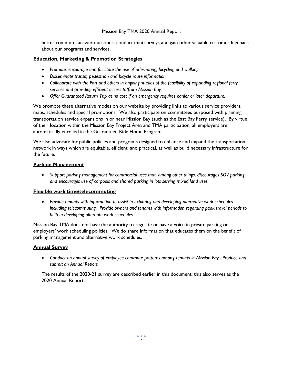better commute, answer questions, conduct mini surveys and gain other valuable customer feedback about our programs and services.

# **Education, Marketing & Promotion Strategies**

- *Promote, encourage and facilitate the use of ridesharing, bicycling and walking*
- *Disseminate transit, pedestrian and bicycle route information.*
- *Collaborate with the Port and others in ongoing studies of the feasibility of expanding regional ferry services and providing efficient access to/from Mission Bay.*
- *Offer Guaranteed Return Trip at no cost if an emergency requires earlier or later departure.*

We promote these alternative modes on our website by providing links to various service providers, maps, schedules and special promotions. We also participate on committees purposed with planning transportation service expansions in or near Mission Bay (such as the East Bay Ferry service). By virtue of their location within the Mission Bay Project Area and TMA participation, all employers are automatically enrolled in the Guaranteed Ride Home Program.

We also advocate for public policies and programs designed to enhance and expand the transportation network in ways which are equitable, efficient, and practical, as well as build necessary infrastructure for the future.

## **Parking Management**

• *Support parking management for commercial uses that, among other things, discourages SOV parking and encourages use of carpools and shared parking in lots serving mixed land uses.* 

## **Flexible work time/telecommuting**

• *Provide tenants with information to assist in exploring and developing alternative work schedules including telecommuting. Provide owners and tenants with information regarding peak travel periods to help in developing alternate work schedules.*

Mission Bay TMA does not have the authority to regulate or have a voice in private parking or employers' work scheduling policies. We do share information that educates them on the benefit of parking management and alternative work schedules.

# **Annual Survey**

• *Conduct an annual survey of employee commute patterns among tenants in Mission Bay. Produce and submit an Annual Report.*

The results of the 2020-21 survey are described earlier in this document; this also serves as the 2020 Annual Report.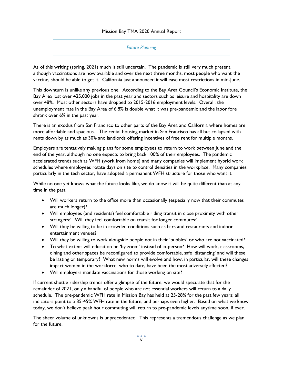#### *Future Planning*

As of this writing (spring, 2021) much is still uncertain. The pandemic is still very much present, although vaccinations are now available and over the next three months, most people who want the vaccine, should be able to get it. California just announced it will ease most restrictions in mid-June.

This downturn is unlike any previous one. According to the Bay Area Council's Economic Institute, the Bay Area lost over 425,000 jobs in the past year and sectors such as leisure and hospitality are down over 48%. Most other sectors have dropped to 2015-2016 employment levels. Overall, the unemployment rate in the Bay Area of 6.8% is double what it was pre-pandemic and the labor fore shrank over 6% in the past year.

There is an exodus from San Francisco to other parts of the Bay Area and California where homes are more affordable and spacious. The rental housing market in San Francisco has all but collapsed with rents down by as much as 30% and landlords offering incentives of free rent for multiple months.

Employers are tentatively making plans for some employees to return to work between June and the end of the year, although no one expects to bring back 100% of their employees. The pandemic accelerated trends such as WFH (work from home) and many companies will implement hybrid work schedules where employees rotate days on site to control densities in the workplace. Many companies, particularly in the tech sector, have adopted a permanent WFH structure for those who want it.

While no one yet knows what the future looks like, we do know it will be quite different than at any time in the past.

- Will workers return to the office more than occasionally (especially now that their commutes are much longer)?
- Will employees (and residents) feel comfortable riding transit in close proximity with other strangers? Will they feel comfortable on transit for longer commutes?
- Will they be willing to be in crowded conditions such as bars and restaurants and indoor entertainment venues?
- Will they be willing to work alongside people not in their 'bubbles' or who are not vaccinated?
- To what extent will education be 'by zoom' instead of in-person? How will work, classrooms, dining and other spaces be reconfigured to provide comfortable, safe 'distancing' and will these be lasting or temporary? What new norms will evolve and how, in particular, will these changes impact women in the workforce, who to date, have been the most adversely affected?
- Will employers mandate vaccinations for those working on site?

If current shuttle ridership trends offer a glimpse of the future, we would speculate that for the remainder of 2021, only a handful of people who are not essential workers will return to a daily schedule. The pre-pandemic WFH rate in Mission Bay has held at 25-28% for the past few years; all indicators point to a 35-45% WFH rate in the future, and perhaps even higher. Based on what we know today, we don't believe peak hour commuting will return to pre-pandemic levels anytime soon, if ever.

The sheer volume of unknowns is unprecedented. This represents a tremendous challenge as we plan for the future.